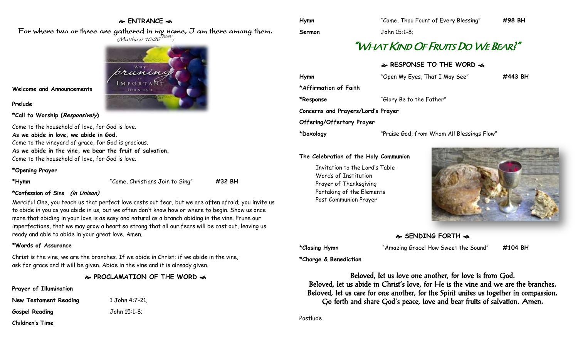# **ENTRANCE**

For where two or three are gathered in my name, I am there among them.  $(M$ atthew 18:20 $^{NRSV})$ 



**Welcome and Announcements**

**Prelude**

#### **\*Call to Worship (Responsively)**

Come to the household of love, for God is love. **As we abide in love, we abide in God.** Come to the vineyard of grace, for God is gracious. **As we abide in the vine, we bear the fruit of salvation.** Come to the household of love, for God is love.

#### **\*Opening Prayer**

**\*Hymn** "Come, Christians Join to Sing" **#32 BH**

## **\*Confession of Sins (in Unison)**

Merciful One, you teach us that perfect love casts out fear, but we are often afraid; you invite us to abide in you as you abide in us, but we often don't know how or where to begin. Show us once more that abiding in your love is as easy and natural as a branch abiding in the vine. Prune our imperfections, that we may grow a heart so strong that all our fears will be cast out, leaving us ready and able to abide in your great love. Amen.

#### **\*Words of Assurance**

Christ is the vine, we are the branches. If we abide in Christ; if we abide in the vine, ask for grace and it will be given. Abide in the vine and it is already given.

# **PROCLAMATION OF THE WORD**

## **Prayer of Illumination**

| <b>New Testament Reading</b> | 1 John 4:7-21; |
|------------------------------|----------------|
| Gospel Reading               | John 15:1-8;   |
| Children's Time              |                |

# "WHAT KIND OF FRUITS DO WE BEAR?"

## **RESPONSE TO THE WORD**  $\approx$

| Hymn                               | "Open My Eyes, That I May See"             | #443 BH |
|------------------------------------|--------------------------------------------|---------|
| *Affirmation of Faith              |                                            |         |
| *Response                          | "Glory Be to the Father"                   |         |
| Concerns and Prayers/Lord's Prayer |                                            |         |
| Offering/Offertory Prayer          |                                            |         |
| *Doxology                          | "Praise God, from Whom All Blessings Flow" |         |

#### **The Celebration of the Holy Communion**

Invitation to the Lord's Table Words of Institution Prayer of Thanksgiving Partaking of the Elements Post Communion Prayer



# **SENDING FORTH**

**\*Closing Hymn** "Amazing Grace! How Sweet the Sound" **#104 BH**

**\*Charge & Benediction**

Beloved, let us love one another, for love is from God. Beloved, let us abide in Christ's love, for He is the vine and we are the branches. Beloved, let us care for one another, for the Spirit unites us together in compassion. Go forth and share God's peace, love and bear fruits of salvation. Amen.

Postlude